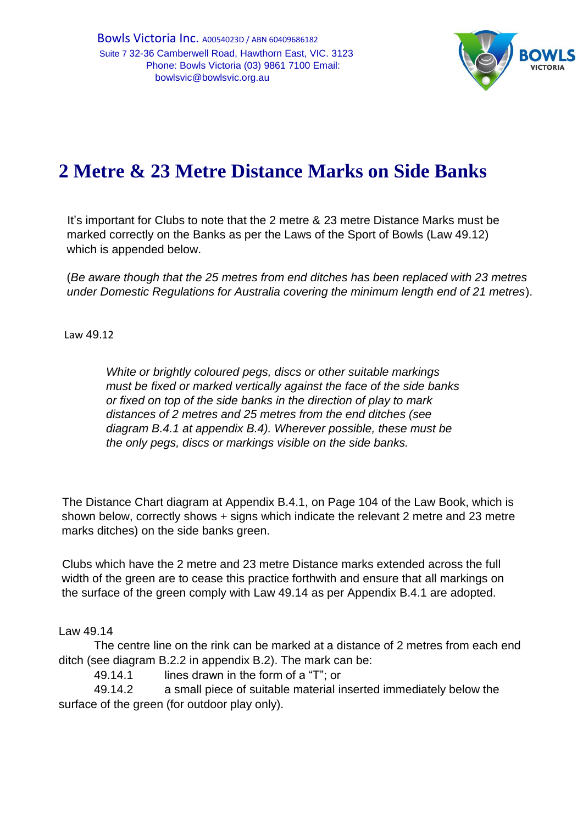

## **2 Metre & 23 Metre Distance Marks on Side Banks**

It's important for Clubs to note that the 2 metre & 23 metre Distance Marks must be marked correctly on the Banks as per the Laws of the Sport of Bowls (Law 49.12) which is appended below.

(*Be aware though that the 25 metres from end ditches has been replaced with 23 metres under Domestic Regulations for Australia covering the minimum length end of 21 metres*).

Law 49.12

*White or brightly coloured pegs, discs or other suitable markings must be fixed or marked vertically against the face of the side banks or fixed on top of the side banks in the direction of play to mark distances of 2 metres and 25 metres from the end ditches (see diagram B.4.1 at appendix B.4). Wherever possible, these must be the only pegs, discs or markings visible on the side banks.* 

The Distance Chart diagram at Appendix B.4.1, on Page 104 of the Law Book, which is shown below, correctly shows + signs which indicate the relevant 2 metre and 23 metre marks ditches) on the side banks green.

Clubs which have the 2 metre and 23 metre Distance marks extended across the full width of the green are to cease this practice forthwith and ensure that all markings on the surface of the green comply with Law 49.14 as per Appendix B.4.1 are adopted.

Law 49.14

The centre line on the rink can be marked at a distance of 2 metres from each end ditch (see diagram B.2.2 in appendix B.2). The mark can be:

49.14.1 lines drawn in the form of a "T"; or

49.14.2 a small piece of suitable material inserted immediately below the surface of the green (for outdoor play only).